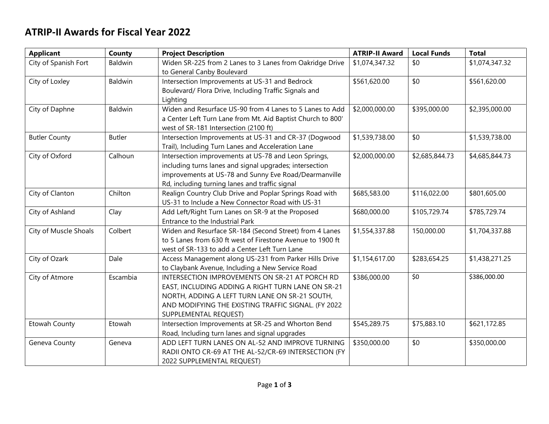## **ATRIP-II Awards for Fiscal Year 2022**

| <b>Applicant</b>      | County        | <b>Project Description</b>                                                                                                                                                                                                            | <b>ATRIP-II Award</b> | <b>Local Funds</b> | <b>Total</b>   |
|-----------------------|---------------|---------------------------------------------------------------------------------------------------------------------------------------------------------------------------------------------------------------------------------------|-----------------------|--------------------|----------------|
| City of Spanish Fort  | Baldwin       | Widen SR-225 from 2 Lanes to 3 Lanes from Oakridge Drive<br>to General Canby Boulevard                                                                                                                                                | \$1,074,347.32        | \$0                | \$1,074,347.32 |
| City of Loxley        | Baldwin       | Intersection Improvements at US-31 and Bedrock<br>Boulevard/ Flora Drive, Including Traffic Signals and<br>Lighting                                                                                                                   | \$561,620.00          | \$0                | \$561,620.00   |
| City of Daphne        | Baldwin       | Widen and Resurface US-90 from 4 Lanes to 5 Lanes to Add<br>a Center Left Turn Lane from Mt. Aid Baptist Church to 800'<br>west of SR-181 Intersection (2100 ft)                                                                      | \$2,000,000.00        | \$395,000.00       | \$2,395,000.00 |
| <b>Butler County</b>  | <b>Butler</b> | Intersection Improvements at US-31 and CR-37 (Dogwood<br>Trail), Including Turn Lanes and Acceleration Lane                                                                                                                           | \$1,539,738.00        | \$0                | \$1,539,738.00 |
| City of Oxford        | Calhoun       | Intersection improvements at US-78 and Leon Springs,<br>including turns lanes and signal upgrades; intersection<br>improvements at US-78 and Sunny Eve Road/Dearmanville<br>Rd, including turning lanes and traffic signal            | \$2,000,000.00        | \$2,685,844.73     | \$4,685,844.73 |
| City of Clanton       | Chilton       | Realign Country Club Drive and Poplar Springs Road with<br>US-31 to Include a New Connector Road with US-31                                                                                                                           | \$685,583.00          | \$116,022.00       | \$801,605.00   |
| City of Ashland       | Clay          | Add Left/Right Turn Lanes on SR-9 at the Proposed<br>Entrance to the Industrial Park                                                                                                                                                  | \$680,000.00          | \$105,729.74       | \$785,729.74   |
| City of Muscle Shoals | Colbert       | Widen and Resurface SR-184 (Second Street) from 4 Lanes<br>to 5 Lanes from 630 ft west of Firestone Avenue to 1900 ft<br>west of SR-133 to add a Center Left Turn Lane                                                                | \$1,554,337.88        | 150,000.00         | \$1,704,337.88 |
| City of Ozark         | Dale          | Access Management along US-231 from Parker Hills Drive<br>to Claybank Avenue, Including a New Service Road                                                                                                                            | \$1,154,617.00        | \$283,654.25       | \$1,438,271.25 |
| City of Atmore        | Escambia      | INTERSECTION IMPROVEMENTS ON SR-21 AT PORCH RD<br>EAST, INCLUDING ADDING A RIGHT TURN LANE ON SR-21<br>NORTH, ADDING A LEFT TURN LANE ON SR-21 SOUTH,<br>AND MODIFYING THE EXISTING TRAFFIC SIGNAL. (FY 2022<br>SUPPLEMENTAL REQUEST) | \$386,000.00          | \$0                | \$386,000.00   |
| Etowah County         | Etowah        | Intersection Improvements at SR-25 and Whorton Bend<br>Road, Including turn lanes and signal upgrades                                                                                                                                 | \$545,289.75          | \$75,883.10        | \$621,172.85   |
| Geneva County         | Geneva        | ADD LEFT TURN LANES ON AL-52 AND IMPROVE TURNING<br>RADII ONTO CR-69 AT THE AL-52/CR-69 INTERSECTION (FY<br>2022 SUPPLEMENTAL REQUEST)                                                                                                | \$350,000.00          | \$0                | \$350,000.00   |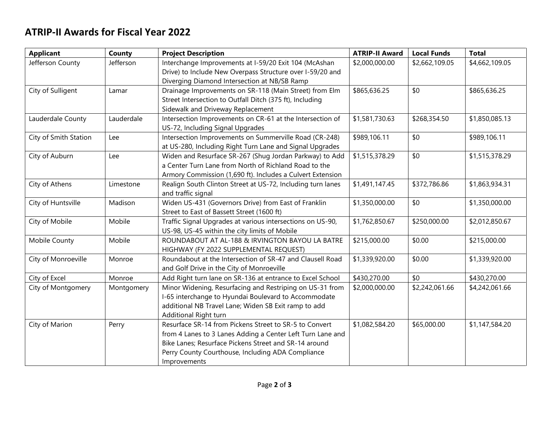## **ATRIP-II Awards for Fiscal Year 2022**

| <b>Applicant</b>      | County     | <b>Project Description</b>                                  | <b>ATRIP-II Award</b> | <b>Local Funds</b> | <b>Total</b>   |
|-----------------------|------------|-------------------------------------------------------------|-----------------------|--------------------|----------------|
| Jefferson County      | Jefferson  | Interchange Improvements at I-59/20 Exit 104 (McAshan       | \$2,000,000.00        | \$2,662,109.05     | \$4,662,109.05 |
|                       |            | Drive) to Include New Overpass Structure over I-59/20 and   |                       |                    |                |
|                       |            | Diverging Diamond Intersection at NB/SB Ramp                |                       |                    |                |
| City of Sulligent     | Lamar      | Drainage Improvements on SR-118 (Main Street) from Elm      | \$865,636.25          | \$0                | \$865,636.25   |
|                       |            | Street Intersection to Outfall Ditch (375 ft), Including    |                       |                    |                |
|                       |            | Sidewalk and Driveway Replacement                           |                       |                    |                |
| Lauderdale County     | Lauderdale | Intersection Improvements on CR-61 at the Intersection of   | \$1,581,730.63        | \$268,354.50       | \$1,850,085.13 |
|                       |            | US-72, Including Signal Upgrades                            |                       |                    |                |
| City of Smith Station | Lee        | Intersection Improvements on Summerville Road (CR-248)      | \$989,106.11          | \$0                | \$989,106.11   |
|                       |            | at US-280, Including Right Turn Lane and Signal Upgrades    |                       |                    |                |
| City of Auburn        | Lee        | Widen and Resurface SR-267 (Shug Jordan Parkway) to Add     | \$1,515,378.29        | \$0                | \$1,515,378.29 |
|                       |            | a Center Turn Lane from North of Richland Road to the       |                       |                    |                |
|                       |            | Armory Commission (1,690 ft). Includes a Culvert Extension  |                       |                    |                |
| City of Athens        | Limestone  | Realign South Clinton Street at US-72, Including turn lanes | \$1,491,147.45        | \$372,786.86       | \$1,863,934.31 |
|                       |            | and traffic signal                                          |                       |                    |                |
| City of Huntsville    | Madison    | Widen US-431 (Governors Drive) from East of Franklin        | \$1,350,000.00        | \$0                | \$1,350,000.00 |
|                       |            | Street to East of Bassett Street (1600 ft)                  |                       |                    |                |
| City of Mobile        | Mobile     | Traffic Signal Upgrades at various intersections on US-90,  | \$1,762,850.67        | \$250,000.00       | \$2,012,850.67 |
|                       |            | US-98, US-45 within the city limits of Mobile               |                       |                    |                |
| Mobile County         | Mobile     | ROUNDABOUT AT AL-188 & IRVINGTON BAYOU LA BATRE             | \$215,000.00          | \$0.00             | \$215,000.00   |
|                       |            | HIGHWAY (FY 2022 SUPPLEMENTAL REQUEST)                      |                       |                    |                |
| City of Monroeville   | Monroe     | Roundabout at the Intersection of SR-47 and Clausell Road   | \$1,339,920.00        | \$0.00             | \$1,339,920.00 |
|                       |            | and Golf Drive in the City of Monroeville                   |                       |                    |                |
| City of Excel         | Monroe     | Add Right turn lane on SR-136 at entrance to Excel School   | \$430,270.00          | \$0                | \$430,270.00   |
| City of Montgomery    | Montgomery | Minor Widening, Resurfacing and Restriping on US-31 from    | \$2,000,000.00        | \$2,242,061.66     | \$4,242,061.66 |
|                       |            | I-65 interchange to Hyundai Boulevard to Accommodate        |                       |                    |                |
|                       |            | additional NB Travel Lane; Widen SB Exit ramp to add        |                       |                    |                |
|                       |            | Additional Right turn                                       |                       |                    |                |
| City of Marion        | Perry      | Resurface SR-14 from Pickens Street to SR-5 to Convert      | \$1,082,584.20        | \$65,000.00        | \$1,147,584.20 |
|                       |            | from 4 Lanes to 3 Lanes Adding a Center Left Turn Lane and  |                       |                    |                |
|                       |            | Bike Lanes; Resurface Pickens Street and SR-14 around       |                       |                    |                |
|                       |            | Perry County Courthouse, Including ADA Compliance           |                       |                    |                |
|                       |            | Improvements                                                |                       |                    |                |